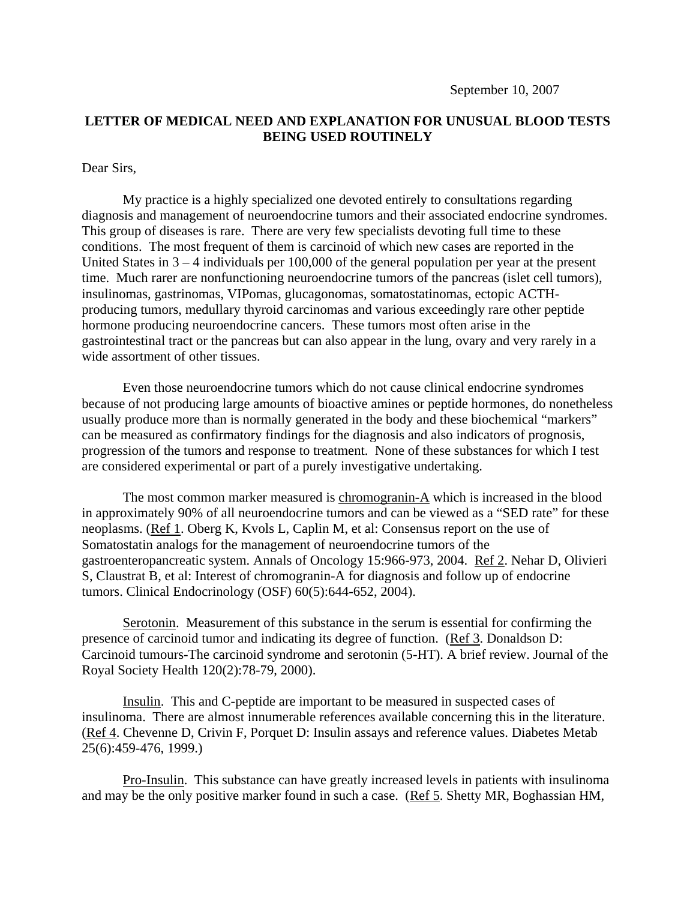September 10, 2007

## **LETTER OF MEDICAL NEED AND EXPLANATION FOR UNUSUAL BLOOD TESTS BEING USED ROUTINELY**

## Dear Sirs,

 My practice is a highly specialized one devoted entirely to consultations regarding diagnosis and management of neuroendocrine tumors and their associated endocrine syndromes. This group of diseases is rare. There are very few specialists devoting full time to these conditions. The most frequent of them is carcinoid of which new cases are reported in the United States in  $3 - 4$  individuals per 100,000 of the general population per year at the present time. Much rarer are nonfunctioning neuroendocrine tumors of the pancreas (islet cell tumors), insulinomas, gastrinomas, VIPomas, glucagonomas, somatostatinomas, ectopic ACTHproducing tumors, medullary thyroid carcinomas and various exceedingly rare other peptide hormone producing neuroendocrine cancers. These tumors most often arise in the gastrointestinal tract or the pancreas but can also appear in the lung, ovary and very rarely in a wide assortment of other tissues.

 Even those neuroendocrine tumors which do not cause clinical endocrine syndromes because of not producing large amounts of bioactive amines or peptide hormones, do nonetheless usually produce more than is normally generated in the body and these biochemical "markers" can be measured as confirmatory findings for the diagnosis and also indicators of prognosis, progression of the tumors and response to treatment. None of these substances for which I test are considered experimental or part of a purely investigative undertaking.

The most common marker measured is chromogranin-A which is increased in the blood in approximately 90% of all neuroendocrine tumors and can be viewed as a "SED rate" for these neoplasms. (Ref 1. Oberg K, Kvols L, Caplin M, et al: Consensus report on the use of Somatostatin analogs for the management of neuroendocrine tumors of the gastroenteropancreatic system. Annals of Oncology 15:966-973, 2004. Ref 2. Nehar D, Olivieri S, Claustrat B, et al: Interest of chromogranin-A for diagnosis and follow up of endocrine tumors. Clinical Endocrinology (OSF) 60(5):644-652, 2004).

 Serotonin. Measurement of this substance in the serum is essential for confirming the presence of carcinoid tumor and indicating its degree of function. (Ref 3. Donaldson D: Carcinoid tumours-The carcinoid syndrome and serotonin (5-HT). A brief review. Journal of the Royal Society Health 120(2):78-79, 2000).

 Insulin. This and C-peptide are important to be measured in suspected cases of insulinoma. There are almost innumerable references available concerning this in the literature. (Ref 4. Chevenne D, Crivin F, Porquet D: Insulin assays and reference values. Diabetes Metab 25(6):459-476, 1999.)

 Pro-Insulin. This substance can have greatly increased levels in patients with insulinoma and may be the only positive marker found in such a case. (Ref 5. Shetty MR, Boghassian HM,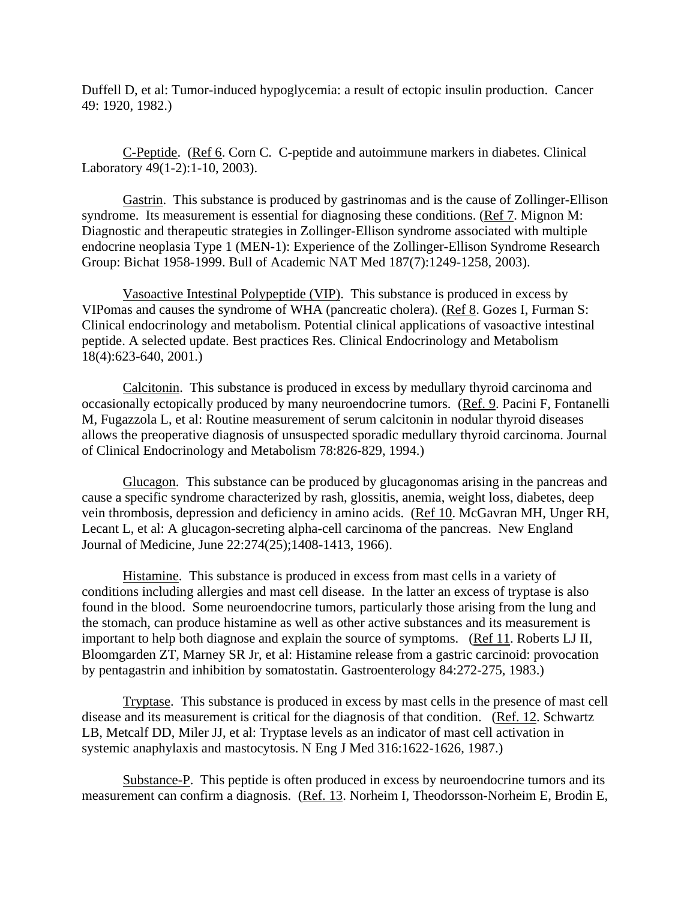Duffell D, et al: Tumor-induced hypoglycemia: a result of ectopic insulin production. Cancer 49: 1920, 1982.)

 C-Peptide. (Ref 6. Corn C. C-peptide and autoimmune markers in diabetes. Clinical Laboratory 49(1-2):1-10, 2003).

 Gastrin. This substance is produced by gastrinomas and is the cause of Zollinger-Ellison syndrome. Its measurement is essential for diagnosing these conditions. (Ref 7. Mignon M: Diagnostic and therapeutic strategies in Zollinger-Ellison syndrome associated with multiple endocrine neoplasia Type 1 (MEN-1): Experience of the Zollinger-Ellison Syndrome Research Group: Bichat 1958-1999. Bull of Academic NAT Med 187(7):1249-1258, 2003).

 Vasoactive Intestinal Polypeptide (VIP). This substance is produced in excess by VIPomas and causes the syndrome of WHA (pancreatic cholera). (Ref 8. Gozes I, Furman S: Clinical endocrinology and metabolism. Potential clinical applications of vasoactive intestinal peptide. A selected update. Best practices Res. Clinical Endocrinology and Metabolism 18(4):623-640, 2001.)

 Calcitonin. This substance is produced in excess by medullary thyroid carcinoma and occasionally ectopically produced by many neuroendocrine tumors. (Ref. 9. Pacini F, Fontanelli M, Fugazzola L, et al: Routine measurement of serum calcitonin in nodular thyroid diseases allows the preoperative diagnosis of unsuspected sporadic medullary thyroid carcinoma. Journal of Clinical Endocrinology and Metabolism 78:826-829, 1994.)

 Glucagon. This substance can be produced by glucagonomas arising in the pancreas and cause a specific syndrome characterized by rash, glossitis, anemia, weight loss, diabetes, deep vein thrombosis, depression and deficiency in amino acids. (Ref 10. McGavran MH, Unger RH, Lecant L, et al: A glucagon-secreting alpha-cell carcinoma of the pancreas. New England Journal of Medicine, June 22:274(25);1408-1413, 1966).

 Histamine. This substance is produced in excess from mast cells in a variety of conditions including allergies and mast cell disease. In the latter an excess of tryptase is also found in the blood. Some neuroendocrine tumors, particularly those arising from the lung and the stomach, can produce histamine as well as other active substances and its measurement is important to help both diagnose and explain the source of symptoms. (Ref 11. Roberts LJ II, Bloomgarden ZT, Marney SR Jr, et al: Histamine release from a gastric carcinoid: provocation by pentagastrin and inhibition by somatostatin. Gastroenterology 84:272-275, 1983.)

 Tryptase. This substance is produced in excess by mast cells in the presence of mast cell disease and its measurement is critical for the diagnosis of that condition. (Ref. 12. Schwartz LB, Metcalf DD, Miler JJ, et al: Tryptase levels as an indicator of mast cell activation in systemic anaphylaxis and mastocytosis. N Eng J Med 316:1622-1626, 1987.)

 Substance-P. This peptide is often produced in excess by neuroendocrine tumors and its measurement can confirm a diagnosis. (Ref. 13. Norheim I, Theodorsson-Norheim E, Brodin E,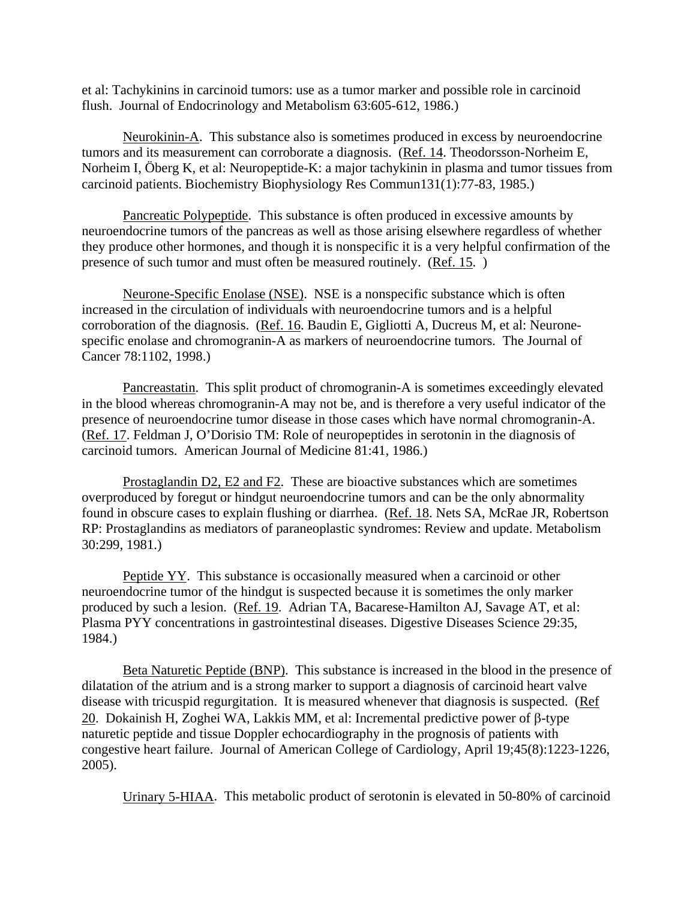et al: Tachykinins in carcinoid tumors: use as a tumor marker and possible role in carcinoid flush. Journal of Endocrinology and Metabolism 63:605-612, 1986.)

 Neurokinin-A. This substance also is sometimes produced in excess by neuroendocrine tumors and its measurement can corroborate a diagnosis. (Ref. 14. Theodorsson-Norheim E, Norheim I, Öberg K, et al: Neuropeptide-K: a major tachykinin in plasma and tumor tissues from carcinoid patients. Biochemistry Biophysiology Res Commun131(1):77-83, 1985.)

 Pancreatic Polypeptide. This substance is often produced in excessive amounts by neuroendocrine tumors of the pancreas as well as those arising elsewhere regardless of whether they produce other hormones, and though it is nonspecific it is a very helpful confirmation of the presence of such tumor and must often be measured routinely. (Ref. 15. )

 Neurone-Specific Enolase (NSE). NSE is a nonspecific substance which is often increased in the circulation of individuals with neuroendocrine tumors and is a helpful corroboration of the diagnosis. (Ref. 16. Baudin E, Gigliotti A, Ducreus M, et al: Neuronespecific enolase and chromogranin-A as markers of neuroendocrine tumors. The Journal of Cancer 78:1102, 1998.)

 Pancreastatin. This split product of chromogranin-A is sometimes exceedingly elevated in the blood whereas chromogranin-A may not be, and is therefore a very useful indicator of the presence of neuroendocrine tumor disease in those cases which have normal chromogranin-A. (Ref. 17. Feldman J, O'Dorisio TM: Role of neuropeptides in serotonin in the diagnosis of carcinoid tumors. American Journal of Medicine 81:41, 1986.)

 Prostaglandin D2, E2 and F2. These are bioactive substances which are sometimes overproduced by foregut or hindgut neuroendocrine tumors and can be the only abnormality found in obscure cases to explain flushing or diarrhea. (Ref. 18. Nets SA, McRae JR, Robertson RP: Prostaglandins as mediators of paraneoplastic syndromes: Review and update. Metabolism 30:299, 1981.)

 Peptide YY. This substance is occasionally measured when a carcinoid or other neuroendocrine tumor of the hindgut is suspected because it is sometimes the only marker produced by such a lesion. (Ref. 19. Adrian TA, Bacarese-Hamilton AJ, Savage AT, et al: Plasma PYY concentrations in gastrointestinal diseases. Digestive Diseases Science 29:35, 1984.)

 Beta Naturetic Peptide (BNP). This substance is increased in the blood in the presence of dilatation of the atrium and is a strong marker to support a diagnosis of carcinoid heart valve disease with tricuspid regurgitation. It is measured whenever that diagnosis is suspected. (Ref 20. Dokainish H, Zoghei WA, Lakkis MM, et al: Incremental predictive power of β-type naturetic peptide and tissue Doppler echocardiography in the prognosis of patients with congestive heart failure. Journal of American College of Cardiology, April 19;45(8):1223-1226, 2005).

Urinary 5-HIAA. This metabolic product of serotonin is elevated in 50-80% of carcinoid